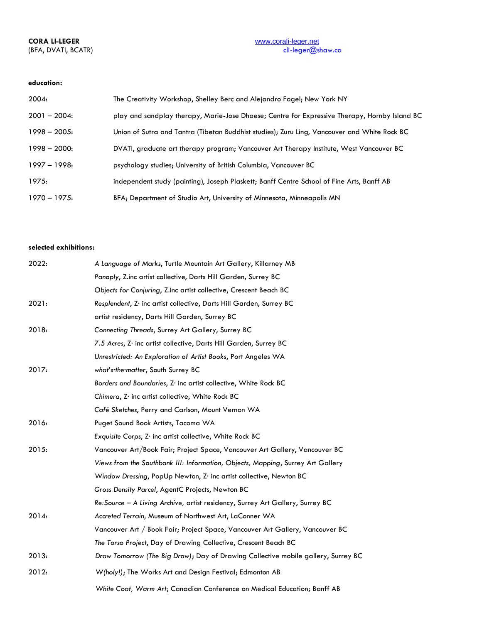# (BFA, DVATI, BCATR)

## **education:**

| 2004:         | The Creativity Workshop, Shelley Berc and Alejandro Fogel; New York NY                        |
|---------------|-----------------------------------------------------------------------------------------------|
| $2001 - 2004$ | play and sandplay therapy, Marie-Jose Dhaese; Centre for Expressive Therapy, Hornby Island BC |
| $1998 - 2005$ | Union of Sutra and Tantra (Tibetan Buddhist studies); Zuru Ling, Vancouver and White Rock BC  |
| $1998 - 2000$ | DVATI, graduate art therapy program; Vancouver Art Therapy Institute, West Vancouver BC       |
| $1997 - 1998$ | psychology studies; University of British Columbia, Vancouver BC                              |
| 1975:         | independent study (painting), Joseph Plaskett; Banff Centre School of Fine Arts, Banff AB     |
| $1970 - 1975$ | BFA; Department of Studio Art, University of Minnesota, Minneapolis MN                        |

### **selected exhibitions:**

| 2022: | A Language of Marks, Turtle Mountain Art Gallery, Killarney MB                    |
|-------|-----------------------------------------------------------------------------------|
|       | Panoply, Z.inc artist collective, Darts Hill Garden, Surrey BC                    |
|       | Objects for Conjuring, Z.inc artist collective, Crescent Beach BC                 |
| 2021: | Resplendent, Z. inc artist collective, Darts Hill Garden, Surrey BC               |
|       | artist residency, Darts Hill Garden, Surrey BC                                    |
| 2018: | Connecting Threads, Surrey Art Gallery, Surrey BC                                 |
|       | 7.5 Acres, Z· inc artist collective, Darts Hill Garden, Surrey BC                 |
|       | Unrestricted: An Exploration of Artist Books, Port Angeles WA                     |
| 2017: | what's the matter, South Surrey BC                                                |
|       | Borders and Boundaries, Z. inc artist collective, White Rock BC                   |
|       | Chimera, Z inc artist collective, White Rock BC                                   |
|       | Café Sketches, Perry and Carlson, Mount Vernon WA                                 |
| 2016: | Puget Sound Book Artists, Tacoma WA                                               |
|       | Exquisite Corps, Z. inc artist collective, White Rock BC                          |
| 2015: | Vancouver Art/Book Fair; Project Space, Vancouver Art Gallery, Vancouver BC       |
|       | Views from the Southbank III: Information, Objects, Mapping, Surrey Art Gallery   |
|       | Window Dressing, PopUp Newton, Z· inc artist collective, Newton BC                |
|       | Gross Density Parcel, AgentC Projects, Newton BC                                  |
|       | Re: Source - A Living Archive, artist residency, Surrey Art Gallery, Surrey BC    |
| 2014: | Accreted Terrain, Museum of Northwest Art, LaConner WA                            |
|       | Vancouver Art / Book Fair; Project Space, Vancouver Art Gallery, Vancouver BC     |
|       | The Torso Project, Day of Drawing Collective, Crescent Beach BC                   |
| 2013: | Draw Tomorrow (The Big Draw); Day of Drawing Collective mobile gallery, Surrey BC |
| 2012: | W(holy!); The Works Art and Design Festival; Edmonton AB                          |
|       | White Coat, Warm Art; Canadian Conference on Medical Education; Banff AB          |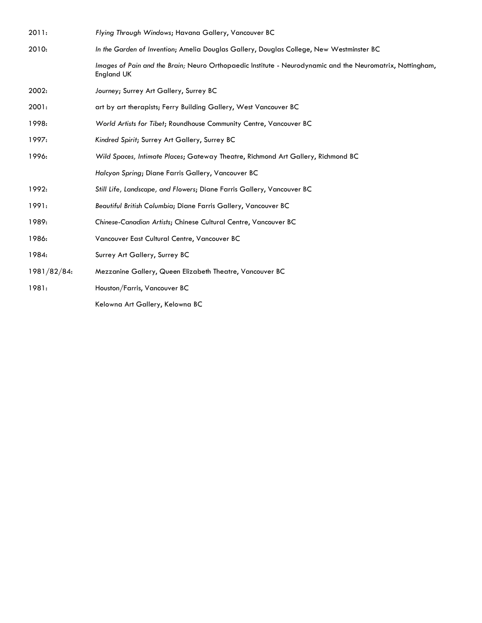| 2011:       | Flying Through Windows; Havana Gallery, Vancouver BC                                                                    |
|-------------|-------------------------------------------------------------------------------------------------------------------------|
| 2010:       | In the Garden of Invention; Amelia Douglas Gallery, Douglas College, New Westminster BC                                 |
|             | Images of Pain and the Brain; Neuro Orthopaedic Institute - Neurodynamic and the Neuromatrix, Nottingham,<br>England UK |
| 2002:       | Journey; Surrey Art Gallery, Surrey BC                                                                                  |
| 2001:       | art by art therapists; Ferry Building Gallery, West Vancouver BC                                                        |
| 1998:       | World Artists for Tibet; Roundhouse Community Centre, Vancouver BC                                                      |
| 1997:       | Kindred Spirit; Surrey Art Gallery, Surrey BC                                                                           |
| 1996:       | Wild Spaces, Intimate Places; Gateway Theatre, Richmond Art Gallery, Richmond BC                                        |
|             | Halcyon Spring; Diane Farris Gallery, Vancouver BC                                                                      |
| 1992:       | Still Life, Landscape, and Flowers; Diane Farris Gallery, Vancouver BC                                                  |
| 1991:       | Beautiful British Columbia; Diane Farris Gallery, Vancouver BC                                                          |
| 1989:       | Chinese-Canadian Artists; Chinese Cultural Centre, Vancouver BC                                                         |
| 1986:       | Vancouver East Cultural Centre, Vancouver BC                                                                            |
| 1984:       | Surrey Art Gallery, Surrey BC                                                                                           |
| 1981/82/84: | Mezzanine Gallery, Queen Elizabeth Theatre, Vancouver BC                                                                |
| 1981:       | Houston/Farris, Vancouver BC                                                                                            |
|             | Kelowna Art Gallery, Kelowna BC                                                                                         |